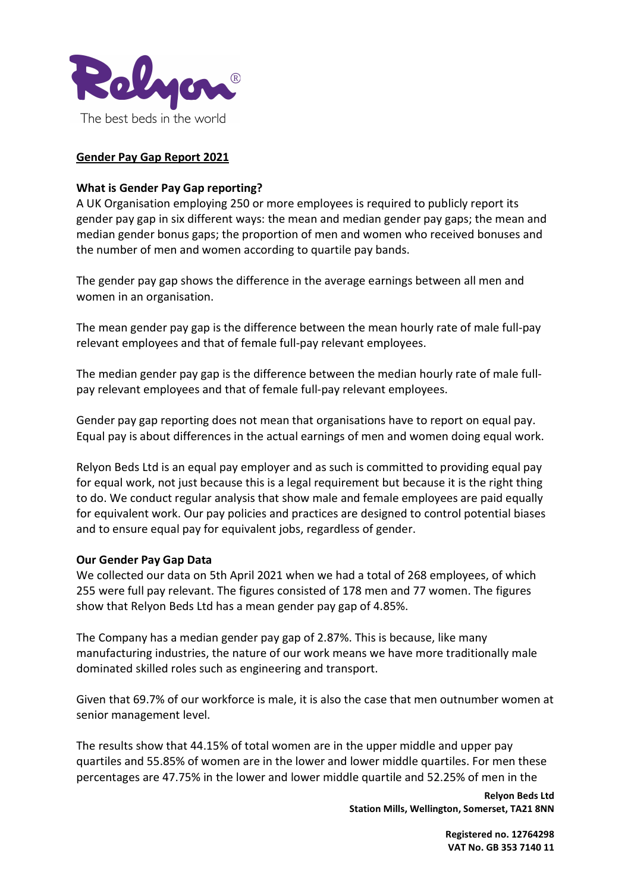

# Gender Pay Gap Report 2021

## What is Gender Pay Gap reporting?

A UK Organisation employing 250 or more employees is required to publicly report its gender pay gap in six different ways: the mean and median gender pay gaps; the mean and median gender bonus gaps; the proportion of men and women who received bonuses and the number of men and women according to quartile pay bands.

The gender pay gap shows the difference in the average earnings between all men and women in an organisation.

The mean gender pay gap is the difference between the mean hourly rate of male full-pay relevant employees and that of female full-pay relevant employees.

The median gender pay gap is the difference between the median hourly rate of male fullpay relevant employees and that of female full-pay relevant employees.

Gender pay gap reporting does not mean that organisations have to report on equal pay. Equal pay is about differences in the actual earnings of men and women doing equal work.

Relyon Beds Ltd is an equal pay employer and as such is committed to providing equal pay for equal work, not just because this is a legal requirement but because it is the right thing to do. We conduct regular analysis that show male and female employees are paid equally for equivalent work. Our pay policies and practices are designed to control potential biases and to ensure equal pay for equivalent jobs, regardless of gender.

### Our Gender Pay Gap Data

We collected our data on 5th April 2021 when we had a total of 268 employees, of which 255 were full pay relevant. The figures consisted of 178 men and 77 women. The figures show that Relyon Beds Ltd has a mean gender pay gap of 4.85%.

The Company has a median gender pay gap of 2.87%. This is because, like many manufacturing industries, the nature of our work means we have more traditionally male dominated skilled roles such as engineering and transport.

Given that 69.7% of our workforce is male, it is also the case that men outnumber women at senior management level.

The results show that 44.15% of total women are in the upper middle and upper pay quartiles and 55.85% of women are in the lower and lower middle quartiles. For men these percentages are 47.75% in the lower and lower middle quartile and 52.25% of men in the

> Relyon Beds Ltd Station Mills, Wellington, Somerset, TA21 8NN

> > Registered no. 12764298 VAT No. GB 353 7140 11